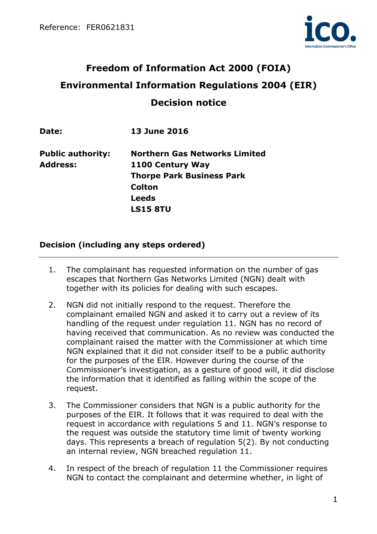

# **Freedom of Information Act 2000 (FOIA) Environmental Information Regulations 2004 (EIR) Decision notice**

| Date:                    | <b>13 June 2016</b>                  |
|--------------------------|--------------------------------------|
| <b>Public authority:</b> | <b>Northern Gas Networks Limited</b> |
| <b>Address:</b>          | 1100 Century Way                     |
|                          | <b>Thorpe Park Business Park</b>     |
|                          | <b>Colton</b>                        |
|                          | <b>Leeds</b>                         |
|                          | <b>LS15 8TU</b>                      |
|                          |                                      |

## **Decision (including any steps ordered)**

- 1. The complainant has requested information on the number of gas escapes that Northern Gas Networks Limited (NGN) dealt with together with its policies for dealing with such escapes.
- 2. NGN did not initially respond to the request. Therefore the complainant emailed NGN and asked it to carry out a review of its handling of the request under regulation 11. NGN has no record of having received that communication. As no review was conducted the complainant raised the matter with the Commissioner at which time NGN explained that it did not consider itself to be a public authority for the purposes of the EIR. However during the course of the Commissioner's investigation, as a gesture of good will, it did disclose the information that it identified as falling within the scope of the request.
- 3. The Commissioner considers that NGN is a public authority for the purposes of the EIR. It follows that it was required to deal with the request in accordance with regulations 5 and 11. NGN's response to the request was outside the statutory time limit of twenty working days. This represents a breach of regulation 5(2). By not conducting an internal review, NGN breached regulation 11.
- 4. In respect of the breach of regulation 11 the Commissioner requires NGN to contact the complainant and determine whether, in light of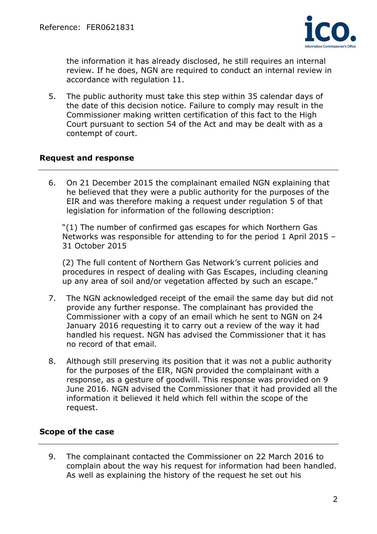

the information it has already disclosed, he still requires an internal review. If he does, NGN are required to conduct an internal review in accordance with regulation 11.

5. The public authority must take this step within 35 calendar days of the date of this decision notice. Failure to comply may result in the Commissioner making written certification of this fact to the High Court pursuant to section 54 of the Act and may be dealt with as a contempt of court.

## **Request and response**

6. On 21 December 2015 the complainant emailed NGN explaining that he believed that they were a public authority for the purposes of the EIR and was therefore making a request under regulation 5 of that legislation for information of the following description:

"(1) The number of confirmed gas escapes for which Northern Gas Networks was responsible for attending to for the period 1 April 2015 – 31 October 2015

(2) The full content of Northern Gas Network's current policies and procedures in respect of dealing with Gas Escapes, including cleaning up any area of soil and/or vegetation affected by such an escape."

- 7. The NGN acknowledged receipt of the email the same day but did not provide any further response. The complainant has provided the Commissioner with a copy of an email which he sent to NGN on 24 January 2016 requesting it to carry out a review of the way it had handled his request. NGN has advised the Commissioner that it has no record of that email.
- 8. Although still preserving its position that it was not a public authority for the purposes of the EIR, NGN provided the complainant with a response, as a gesture of goodwill. This response was provided on 9 June 2016. NGN advised the Commissioner that it had provided all the information it believed it held which fell within the scope of the request.

## **Scope of the case**

9. The complainant contacted the Commissioner on 22 March 2016 to complain about the way his request for information had been handled. As well as explaining the history of the request he set out his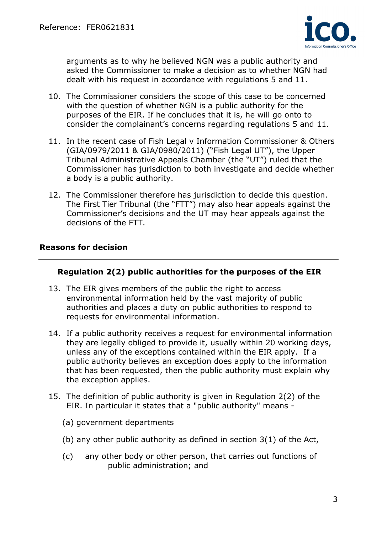

arguments as to why he believed NGN was a public authority and asked the Commissioner to make a decision as to whether NGN had dealt with his request in accordance with regulations 5 and 11.

- 10. The Commissioner considers the scope of this case to be concerned with the question of whether NGN is a public authority for the purposes of the EIR. If he concludes that it is, he will go onto to consider the complainant's concerns regarding regulations 5 and 11.
- 11. In the recent case of Fish Legal v Information Commissioner & Others (GIA/0979/2011 & GIA/0980/2011) ("Fish Legal UT"), the Upper Tribunal Administrative Appeals Chamber (the "UT") ruled that the Commissioner has jurisdiction to both investigate and decide whether a body is a public authority.
- 12. The Commissioner therefore has jurisdiction to decide this question. The First Tier Tribunal (the "FTT") may also hear appeals against the Commissioner's decisions and the UT may hear appeals against the decisions of the FTT.

## **Reasons for decision**

## **Regulation 2(2) public authorities for the purposes of the EIR**

- 13. The EIR gives members of the public the right to access environmental information held by the vast majority of public authorities and places a duty on public authorities to respond to requests for environmental information.
- 14. If a public authority receives a request for environmental information they are legally obliged to provide it, usually within 20 working days, unless any of the exceptions contained within the EIR apply. If a public authority believes an exception does apply to the information that has been requested, then the public authority must explain why the exception applies.
- 15. The definition of public authority is given in Regulation 2(2) of the EIR. In particular it states that a "public authority" means -
	- (a) government departments
	- (b) any other public authority as defined in section 3(1) of the Act,
	- (c) any other body or other person, that carries out functions of public administration; and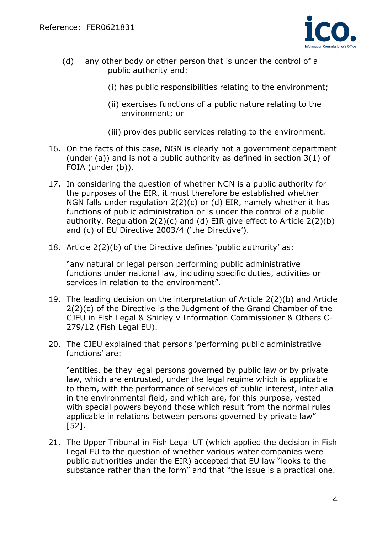

- (d) any other body or other person that is under the control of a public authority and:
	- (i) has public responsibilities relating to the environment;
	- (ii) exercises functions of a public nature relating to the environment; or
	- (iii) provides public services relating to the environment.
- 16. On the facts of this case, NGN is clearly not a government department (under (a)) and is not a public authority as defined in section 3(1) of FOIA (under (b)).
- 17. In considering the question of whether NGN is a public authority for the purposes of the EIR, it must therefore be established whether NGN falls under regulation 2(2)(c) or (d) EIR, namely whether it has functions of public administration or is under the control of a public authority. Regulation 2(2)(c) and (d) EIR give effect to Article 2(2)(b) and (c) of EU Directive 2003/4 ('the Directive').
- 18. Article 2(2)(b) of the Directive defines 'public authority' as:

"any natural or legal person performing public administrative functions under national law, including specific duties, activities or services in relation to the environment".

- 19. The leading decision on the interpretation of Article 2(2)(b) and Article 2(2)(c) of the Directive is the Judgment of the Grand Chamber of the CJEU in Fish Legal & Shirley v Information Commissioner & Others C-279/12 (Fish Legal EU).
- 20. The CJEU explained that persons 'performing public administrative functions' are:

"entities, be they legal persons governed by public law or by private law, which are entrusted, under the legal regime which is applicable to them, with the performance of services of public interest, inter alia in the environmental field, and which are, for this purpose, vested with special powers beyond those which result from the normal rules applicable in relations between persons governed by private law" [52].

21. The Upper Tribunal in Fish Legal UT (which applied the decision in Fish Legal EU to the question of whether various water companies were public authorities under the EIR) accepted that EU law "looks to the substance rather than the form" and that "the issue is a practical one.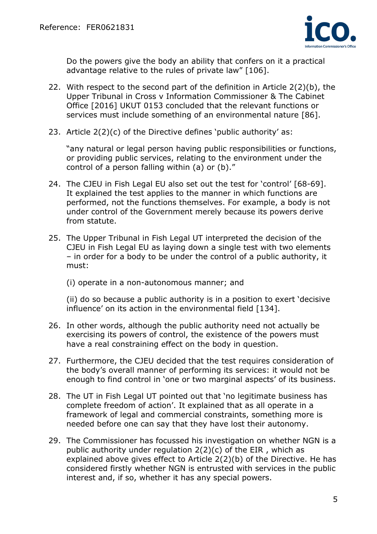

Do the powers give the body an ability that confers on it a practical advantage relative to the rules of private law" [106].

- 22. With respect to the second part of the definition in Article 2(2)(b), the Upper Tribunal in Cross v Information Commissioner & The Cabinet Office [2016] UKUT 0153 concluded that the relevant functions or services must include something of an environmental nature [86].
- 23. Article 2(2)(c) of the Directive defines 'public authority' as:

"any natural or legal person having public responsibilities or functions, or providing public services, relating to the environment under the control of a person falling within (a) or (b)."

- 24. The CJEU in Fish Legal EU also set out the test for 'control' [68-69]. It explained the test applies to the manner in which functions are performed, not the functions themselves. For example, a body is not under control of the Government merely because its powers derive from statute.
- 25. The Upper Tribunal in Fish Legal UT interpreted the decision of the CJEU in Fish Legal EU as laying down a single test with two elements – in order for a body to be under the control of a public authority, it must:
	- (i) operate in a non-autonomous manner; and

(ii) do so because a public authority is in a position to exert 'decisive influence' on its action in the environmental field [134].

- 26. In other words, although the public authority need not actually be exercising its powers of control, the existence of the powers must have a real constraining effect on the body in question.
- 27. Furthermore, the CJEU decided that the test requires consideration of the body's overall manner of performing its services: it would not be enough to find control in 'one or two marginal aspects' of its business.
- 28. The UT in Fish Legal UT pointed out that 'no legitimate business has complete freedom of action'. It explained that as all operate in a framework of legal and commercial constraints, something more is needed before one can say that they have lost their autonomy.
- 29. The Commissioner has focussed his investigation on whether NGN is a public authority under regulation 2(2)(c) of the EIR , which as explained above gives effect to Article 2(2)(b) of the Directive. He has considered firstly whether NGN is entrusted with services in the public interest and, if so, whether it has any special powers.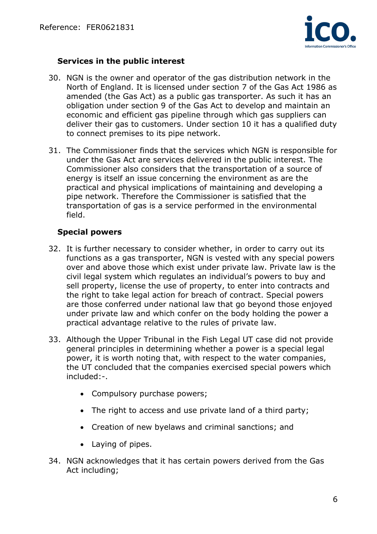

## **Services in the public interest**

- 30. NGN is the owner and operator of the gas distribution network in the North of England. It is licensed under section 7 of the Gas Act 1986 as amended (the Gas Act) as a public gas transporter. As such it has an obligation under section 9 of the Gas Act to develop and maintain an economic and efficient gas pipeline through which gas suppliers can deliver their gas to customers. Under section 10 it has a qualified duty to connect premises to its pipe network.
- 31. The Commissioner finds that the services which NGN is responsible for under the Gas Act are services delivered in the public interest. The Commissioner also considers that the transportation of a source of energy is itself an issue concerning the environment as are the practical and physical implications of maintaining and developing a pipe network. Therefore the Commissioner is satisfied that the transportation of gas is a service performed in the environmental field.

# **Special powers**

- 32. It is further necessary to consider whether, in order to carry out its functions as a gas transporter, NGN is vested with any special powers over and above those which exist under private law. Private law is the civil legal system which regulates an individual's powers to buy and sell property, license the use of property, to enter into contracts and the right to take legal action for breach of contract. Special powers are those conferred under national law that go beyond those enjoyed under private law and which confer on the body holding the power a practical advantage relative to the rules of private law.
- 33. Although the Upper Tribunal in the Fish Legal UT case did not provide general principles in determining whether a power is a special legal power, it is worth noting that, with respect to the water companies, the UT concluded that the companies exercised special powers which included:-.
	- Compulsory purchase powers;
	- The right to access and use private land of a third party;
	- Creation of new byelaws and criminal sanctions; and
	- Laying of pipes.
- 34. NGN acknowledges that it has certain powers derived from the Gas Act including;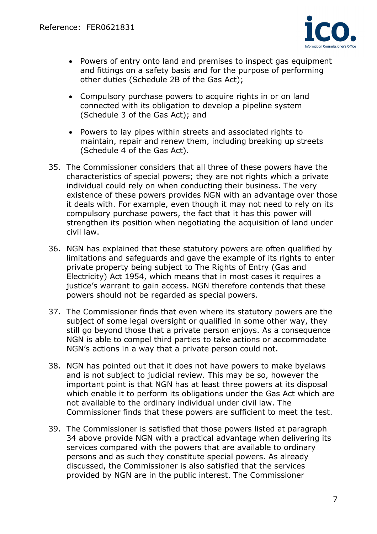

- Powers of entry onto land and premises to inspect gas equipment and fittings on a safety basis and for the purpose of performing other duties (Schedule 2B of the Gas Act);
- Compulsory purchase powers to acquire rights in or on land connected with its obligation to develop a pipeline system (Schedule 3 of the Gas Act); and
- Powers to lay pipes within streets and associated rights to maintain, repair and renew them, including breaking up streets (Schedule 4 of the Gas Act).
- 35. The Commissioner considers that all three of these powers have the characteristics of special powers; they are not rights which a private individual could rely on when conducting their business. The very existence of these powers provides NGN with an advantage over those it deals with. For example, even though it may not need to rely on its compulsory purchase powers, the fact that it has this power will strengthen its position when negotiating the acquisition of land under civil law.
- 36. NGN has explained that these statutory powers are often qualified by limitations and safeguards and gave the example of its rights to enter private property being subject to The Rights of Entry (Gas and Electricity) Act 1954, which means that in most cases it requires a justice's warrant to gain access. NGN therefore contends that these powers should not be regarded as special powers.
- 37. The Commissioner finds that even where its statutory powers are the subject of some legal oversight or qualified in some other way, they still go beyond those that a private person enjoys. As a consequence NGN is able to compel third parties to take actions or accommodate NGN's actions in a way that a private person could not.
- 38. NGN has pointed out that it does not have powers to make byelaws and is not subject to judicial review. This may be so, however the important point is that NGN has at least three powers at its disposal which enable it to perform its obligations under the Gas Act which are not available to the ordinary individual under civil law. The Commissioner finds that these powers are sufficient to meet the test.
- 39. The Commissioner is satisfied that those powers listed at paragraph 34 above provide NGN with a practical advantage when delivering its services compared with the powers that are available to ordinary persons and as such they constitute special powers. As already discussed, the Commissioner is also satisfied that the services provided by NGN are in the public interest. The Commissioner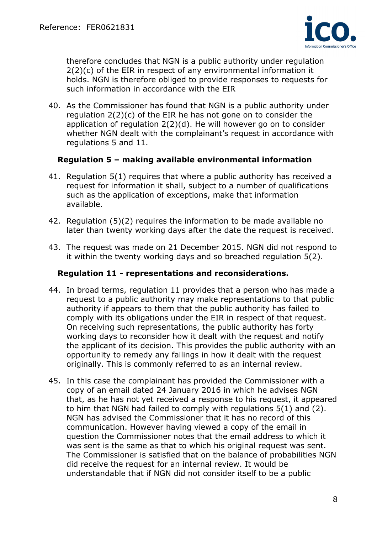

therefore concludes that NGN is a public authority under regulation 2(2)(c) of the EIR in respect of any environmental information it holds. NGN is therefore obliged to provide responses to requests for such information in accordance with the EIR

40. As the Commissioner has found that NGN is a public authority under regulation 2(2)(c) of the EIR he has not gone on to consider the application of regulation 2(2)(d). He will however go on to consider whether NGN dealt with the complainant's request in accordance with regulations 5 and 11.

## **Regulation 5 – making available environmental information**

- 41. Regulation 5(1) requires that where a public authority has received a request for information it shall, subject to a number of qualifications such as the application of exceptions, make that information available.
- 42. Regulation (5)(2) requires the information to be made available no later than twenty working days after the date the request is received.
- 43. The request was made on 21 December 2015. NGN did not respond to it within the twenty working days and so breached regulation 5(2).

## **Regulation 11 - representations and reconsiderations.**

- 44. In broad terms, regulation 11 provides that a person who has made a request to a public authority may make representations to that public authority if appears to them that the public authority has failed to comply with its obligations under the EIR in respect of that request. On receiving such representations, the public authority has forty working days to reconsider how it dealt with the request and notify the applicant of its decision. This provides the public authority with an opportunity to remedy any failings in how it dealt with the request originally. This is commonly referred to as an internal review.
- 45. In this case the complainant has provided the Commissioner with a copy of an email dated 24 January 2016 in which he advises NGN that, as he has not yet received a response to his request, it appeared to him that NGN had failed to comply with regulations 5(1) and (2). NGN has advised the Commissioner that it has no record of this communication. However having viewed a copy of the email in question the Commissioner notes that the email address to which it was sent is the same as that to which his original request was sent. The Commissioner is satisfied that on the balance of probabilities NGN did receive the request for an internal review. It would be understandable that if NGN did not consider itself to be a public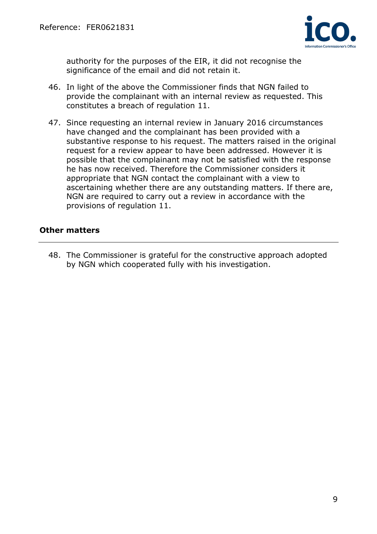

authority for the purposes of the EIR, it did not recognise the significance of the email and did not retain it.

- 46. In light of the above the Commissioner finds that NGN failed to provide the complainant with an internal review as requested. This constitutes a breach of regulation 11.
- 47. Since requesting an internal review in January 2016 circumstances have changed and the complainant has been provided with a substantive response to his request. The matters raised in the original request for a review appear to have been addressed. However it is possible that the complainant may not be satisfied with the response he has now received. Therefore the Commissioner considers it appropriate that NGN contact the complainant with a view to ascertaining whether there are any outstanding matters. If there are, NGN are required to carry out a review in accordance with the provisions of regulation 11.

## **Other matters**

48. The Commissioner is grateful for the constructive approach adopted by NGN which cooperated fully with his investigation.